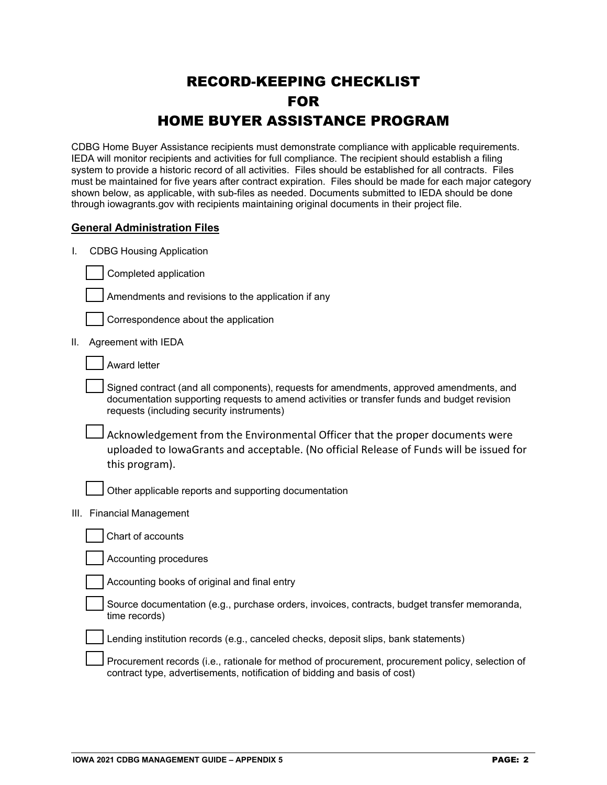# RECORD-KEEPING CHECKLIST FOR HOME BUYER ASSISTANCE PROGRAM

CDBG Home Buyer Assistance recipients must demonstrate compliance with applicable requirements. IEDA will monitor recipients and activities for full compliance. The recipient should establish a filing system to provide a historic record of all activities. Files should be established for all contracts. Files must be maintained for five years after contract expiration. Files should be made for each major category shown below, as applicable, with sub-files as needed. Documents submitted to IEDA should be done through iowagrants.gov with recipients maintaining original documents in their project file.

# **General Administration Files**

I. CDBG Housing Application



Amendments and revisions to the application if any

Correspondence about the application

II. Agreement with IEDA

Award letter

Signed contract (and all components), requests for amendments, approved amendments, and documentation supporting requests to amend activities or transfer funds and budget revision requests (including security instruments)

Acknowledgement from the Environmental Officer that the proper documents were uploaded to IowaGrants and acceptable. (No official Release of Funds will be issued for this program).

Other applicable reports and supporting documentation

III. Financial Management

Chart of accounts

Accounting procedures

Accounting books of original and final entry

Source documentation (e.g., purchase orders, invoices, contracts, budget transfer memoranda, time records)

Lending institution records (e.g., canceled checks, deposit slips, bank statements)

Procurement records (i.e., rationale for method of procurement, procurement policy, selection of contract type, advertisements, notification of bidding and basis of cost)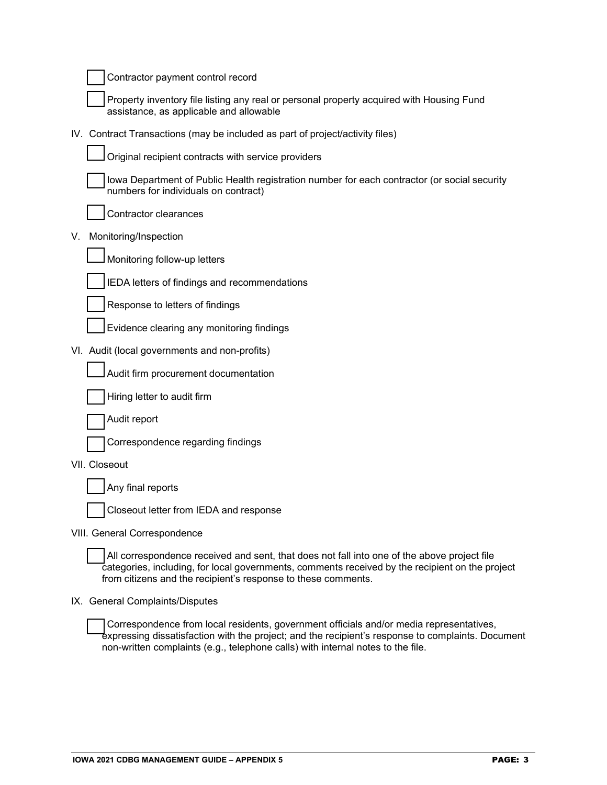| Contractor payment control record                                                                                                                                                                                                                               |
|-----------------------------------------------------------------------------------------------------------------------------------------------------------------------------------------------------------------------------------------------------------------|
| Property inventory file listing any real or personal property acquired with Housing Fund<br>assistance, as applicable and allowable                                                                                                                             |
| IV. Contract Transactions (may be included as part of project/activity files)                                                                                                                                                                                   |
| Original recipient contracts with service providers                                                                                                                                                                                                             |
| lowa Department of Public Health registration number for each contractor (or social security<br>numbers for individuals on contract)                                                                                                                            |
| Contractor clearances                                                                                                                                                                                                                                           |
| Monitoring/Inspection<br>V.                                                                                                                                                                                                                                     |
| Monitoring follow-up letters                                                                                                                                                                                                                                    |
| IEDA letters of findings and recommendations                                                                                                                                                                                                                    |
| Response to letters of findings                                                                                                                                                                                                                                 |
| Evidence clearing any monitoring findings                                                                                                                                                                                                                       |
| VI. Audit (local governments and non-profits)                                                                                                                                                                                                                   |
| Audit firm procurement documentation                                                                                                                                                                                                                            |
| Hiring letter to audit firm                                                                                                                                                                                                                                     |
| Audit report                                                                                                                                                                                                                                                    |
| Correspondence regarding findings                                                                                                                                                                                                                               |
| VII. Closeout                                                                                                                                                                                                                                                   |
| Any final reports                                                                                                                                                                                                                                               |
| Closeout letter from IEDA and response                                                                                                                                                                                                                          |
| VIII. General Correspondence                                                                                                                                                                                                                                    |
| All correspondence received and sent, that does not fall into one of the above project file<br>categories, including, for local governments, comments received by the recipient on the project<br>from citizens and the recipient's response to these comments. |
| IX. General Complaints/Disputes                                                                                                                                                                                                                                 |
|                                                                                                                                                                                                                                                                 |

Correspondence from local residents, government officials and/or media representatives, expressing dissatisfaction with the project; and the recipient's response to complaints. Document non-written complaints (e.g., telephone calls) with internal notes to the file.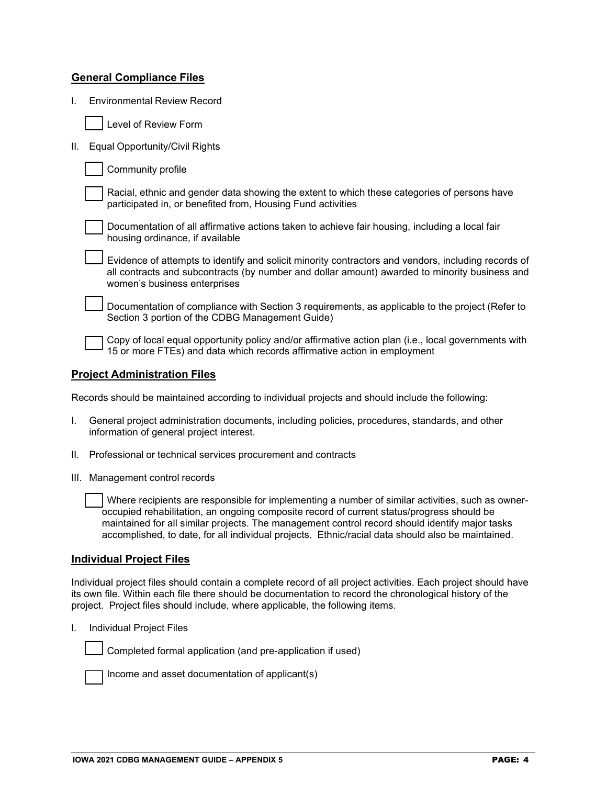# **General Compliance Files**

I. Environmental Review Record

II. Equal Opportunity/Civil Rights

| Community profile |  |
|-------------------|--|
|-------------------|--|

Racial, ethnic and gender data showing the extent to which these categories of persons have participated in, or benefited from, Housing Fund activities



Evidence of attempts to identify and solicit minority contractors and vendors, including records of all contracts and subcontracts (by number and dollar amount) awarded to minority business and women's business enterprises

Documentation of compliance with Section 3 requirements, as applicable to the project (Refer to Section 3 portion of the CDBG Management Guide)

Copy of local equal opportunity policy and/or affirmative action plan (i.e., local governments with 15 or more FTEs) and data which records affirmative action in employment

### **Project Administration Files**

Records should be maintained according to individual projects and should include the following:

- I. General project administration documents, including policies, procedures, standards, and other information of general project interest.
- II. Professional or technical services procurement and contracts
- III. Management control records

Where recipients are responsible for implementing a number of similar activities, such as owneroccupied rehabilitation, an ongoing composite record of current status/progress should be maintained for all similar projects. The management control record should identify major tasks accomplished, to date, for all individual projects. Ethnic/racial data should also be maintained.

### **Individual Project Files**

Individual project files should contain a complete record of all project activities. Each project should have its own file. Within each file there should be documentation to record the chronological history of the project. Project files should include, where applicable, the following items.

I. Individual Project Files



Completed formal application (and pre-application if used)



Income and asset documentation of applicant(s)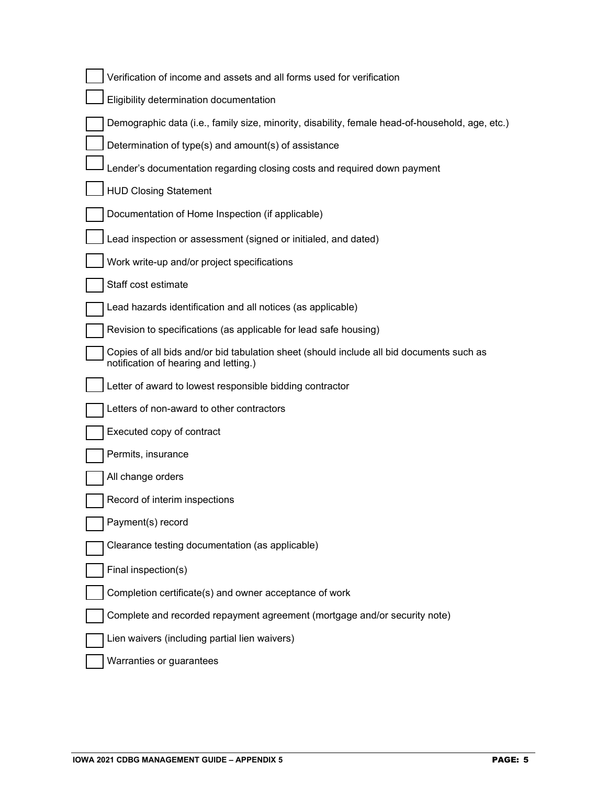| Verification of income and assets and all forms used for verification                                                             |
|-----------------------------------------------------------------------------------------------------------------------------------|
| Eligibility determination documentation                                                                                           |
| Demographic data (i.e., family size, minority, disability, female head-of-household, age, etc.)                                   |
| Determination of type(s) and amount(s) of assistance                                                                              |
| Lender's documentation regarding closing costs and required down payment                                                          |
| <b>HUD Closing Statement</b>                                                                                                      |
| Documentation of Home Inspection (if applicable)                                                                                  |
| Lead inspection or assessment (signed or initialed, and dated)                                                                    |
| Work write-up and/or project specifications                                                                                       |
| Staff cost estimate                                                                                                               |
| Lead hazards identification and all notices (as applicable)                                                                       |
| Revision to specifications (as applicable for lead safe housing)                                                                  |
| Copies of all bids and/or bid tabulation sheet (should include all bid documents such as<br>notification of hearing and letting.) |
| Letter of award to lowest responsible bidding contractor                                                                          |
| Letters of non-award to other contractors                                                                                         |
| Executed copy of contract                                                                                                         |
| Permits, insurance                                                                                                                |
| All change orders                                                                                                                 |
| Record of interim inspections                                                                                                     |
| Payment(s) record                                                                                                                 |
| Clearance testing documentation (as applicable)                                                                                   |
| Final inspection(s)                                                                                                               |
| Completion certificate(s) and owner acceptance of work                                                                            |
| Complete and recorded repayment agreement (mortgage and/or security note)                                                         |
| Lien waivers (including partial lien waivers)                                                                                     |
| Warranties or guarantees                                                                                                          |